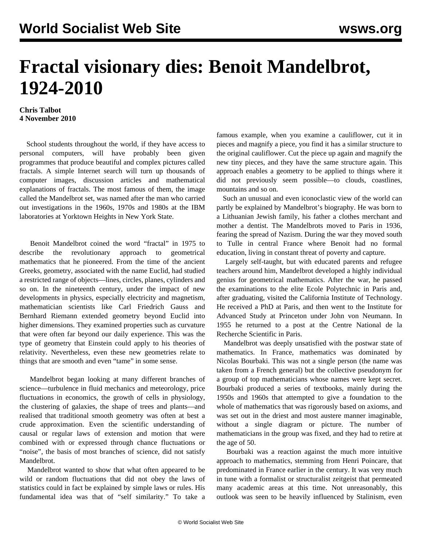## **Fractal visionary dies: Benoit Mandelbrot, 1924-2010**

## **Chris Talbot 4 November 2010**

 School students throughout the world, if they have access to personal computers, will have probably been given programmes that produce beautiful and complex pictures called fractals. A simple Internet search will turn up thousands of computer images, discussion articles and mathematical explanations of fractals. The most famous of them, the image called the Mandelbrot set, was named after the man who carried out investigations in the 1960s, 1970s and 1980s at the IBM laboratories at Yorktown Heights in New York State.

 Benoit Mandelbrot coined the word "fractal" in 1975 to describe the revolutionary approach to geometrical mathematics that he pioneered. From the time of the ancient Greeks, geometry, associated with the name Euclid, had studied a restricted range of objects—lines, circles, planes, cylinders and so on. In the nineteenth century, under the impact of new developments in physics, especially electricity and magnetism, mathematician scientists like Carl Friedrich Gauss and Bernhard Riemann extended geometry beyond Euclid into higher dimensions. They examined properties such as curvature that were often far beyond our daily experience. This was the type of geometry that Einstein could apply to his theories of relativity. Nevertheless, even these new geometries relate to things that are smooth and even "tame" in some sense.

 Mandelbrot began looking at many different branches of science—turbulence in fluid mechanics and meteorology, price fluctuations in economics, the growth of cells in physiology, the clustering of galaxies, the shape of trees and plants—and realised that traditional smooth geometry was often at best a crude approximation. Even the scientific understanding of causal or regular laws of extension and motion that were combined with or expressed through chance fluctuations or "noise", the basis of most branches of science, did not satisfy Mandelbrot.

 Mandelbrot wanted to show that what often appeared to be wild or random fluctuations that did not obey the laws of statistics could in fact be explained by simple laws or rules. His fundamental idea was that of "self similarity." To take a famous example, when you examine a cauliflower, cut it in pieces and magnify a piece, you find it has a similar structure to the original cauliflower. Cut the piece up again and magnify the new tiny pieces, and they have the same structure again. This approach enables a geometry to be applied to things where it did not previously seem possible—to clouds, coastlines, mountains and so on.

 Such an unusual and even iconoclastic view of the world can partly be explained by Mandelbrot's biography. He was born to a Lithuanian Jewish family, his father a clothes merchant and mother a dentist. The Mandelbrots moved to Paris in 1936, fearing the spread of Nazism. During the war they moved south to Tulle in central France where Benoit had no formal education, living in constant threat of poverty and capture.

 Largely self-taught, but with educated parents and refugee teachers around him, Mandelbrot developed a highly individual genius for geometrical mathematics. After the war, he passed the examinations to the elite Ecole Polytechnic in Paris and, after graduating, visited the California Institute of Technology. He received a PhD at Paris, and then went to the Institute for Advanced Study at Princeton under John von Neumann. In 1955 he returned to a post at the Centre National de la Recherche Scientific in Paris.

 Mandelbrot was deeply unsatisfied with the postwar state of mathematics. In France, mathematics was dominated by Nicolas Bourbaki. This was not a single person (the name was taken from a French general) but the collective pseudonym for a group of top mathematicians whose names were kept secret. Bourbaki produced a series of textbooks, mainly during the 1950s and 1960s that attempted to give a foundation to the whole of mathematics that was rigorously based on axioms, and was set out in the driest and most austere manner imaginable, without a single diagram or picture. The number of mathematicians in the group was fixed, and they had to retire at the age of 50.

 Bourbaki was a reaction against the much more intuitive approach to mathematics, stemming from Henri Poincare, that predominated in France earlier in the century. It was very much in tune with a formalist or structuralist zeitgeist that permeated many academic areas at this time. Not unreasonably, this outlook was seen to be heavily influenced by Stalinism, even